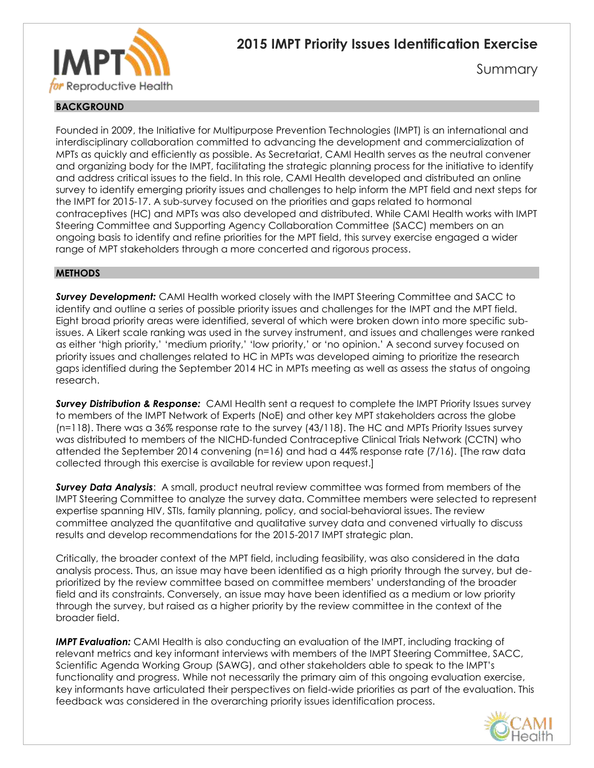

# **2015 IMPT Priority Issues Identification Exercise**

Summary

# **BACKGROUND**

Founded in 2009, the Initiative for Multipurpose Prevention Technologies (IMPT) is an international and interdisciplinary collaboration committed to advancing the development and commercialization of MPTs as quickly and efficiently as possible. As Secretariat, CAMI Health serves as the neutral convener and organizing body for the IMPT, facilitating the strategic planning process for the initiative to identify and address critical issues to the field. In this role, CAMI Health developed and distributed an online survey to identify emerging priority issues and challenges to help inform the MPT field and next steps for the IMPT for 2015-17. A sub-survey focused on the priorities and gaps related to hormonal contraceptives (HC) and MPTs was also developed and distributed. While CAMI Health works with IMPT Steering Committee and Supporting Agency Collaboration Committee (SACC) members on an ongoing basis to identify and refine priorities for the MPT field, this survey exercise engaged a wider range of MPT stakeholders through a more concerted and rigorous process.

### **METHODS**

*Survey Development:* CAMI Health worked closely with the IMPT Steering Committee and SACC to identify and outline a series of possible priority issues and challenges for the IMPT and the MPT field. Eight broad priority areas were identified, several of which were broken down into more specific subissues. A Likert scale ranking was used in the survey instrument, and issues and challenges were ranked as either 'high priority,' 'medium priority,' 'low priority,' or 'no opinion.' A second survey focused on priority issues and challenges related to HC in MPTs was developed aiming to prioritize the research gaps identified during the September 2014 HC in MPTs meeting as well as assess the status of ongoing research.

*Survey Distribution & Response:* CAMI Health sent a request to complete the IMPT Priority Issues survey to members of the IMPT Network of Experts (NoE) and other key MPT stakeholders across the globe (n=118). There was a 36% response rate to the survey (43/118). The HC and MPTs Priority Issues survey was distributed to members of the NICHD-funded Contraceptive Clinical Trials Network (CCTN) who attended the September 2014 convening (n=16) and had a 44% response rate (7/16). [The raw data collected through this exercise is available for review upon request.]

*Survey Data Analysis*: A small, product neutral review committee was formed from members of the IMPT Steering Committee to analyze the survey data. Committee members were selected to represent expertise spanning HIV, STIs, family planning, policy, and social-behavioral issues. The review committee analyzed the quantitative and qualitative survey data and convened virtually to discuss results and develop recommendations for the 2015-2017 IMPT strategic plan.

Critically, the broader context of the MPT field, including feasibility, was also considered in the data analysis process. Thus, an issue may have been identified as a high priority through the survey, but deprioritized by the review committee based on committee members' understanding of the broader field and its constraints. Conversely, an issue may have been identified as a medium or low priority through the survey, but raised as a higher priority by the review committee in the context of the broader field.

*IMPT Evaluation:* CAMI Health is also conducting an evaluation of the IMPT, including tracking of relevant metrics and key informant interviews with members of the IMPT Steering Committee, SACC, Scientific Agenda Working Group (SAWG), and other stakeholders able to speak to the IMPT's functionality and progress. While not necessarily the primary aim of this ongoing evaluation exercise, key informants have articulated their perspectives on field-wide priorities as part of the evaluation. This feedback was considered in the overarching priority issues identification process.

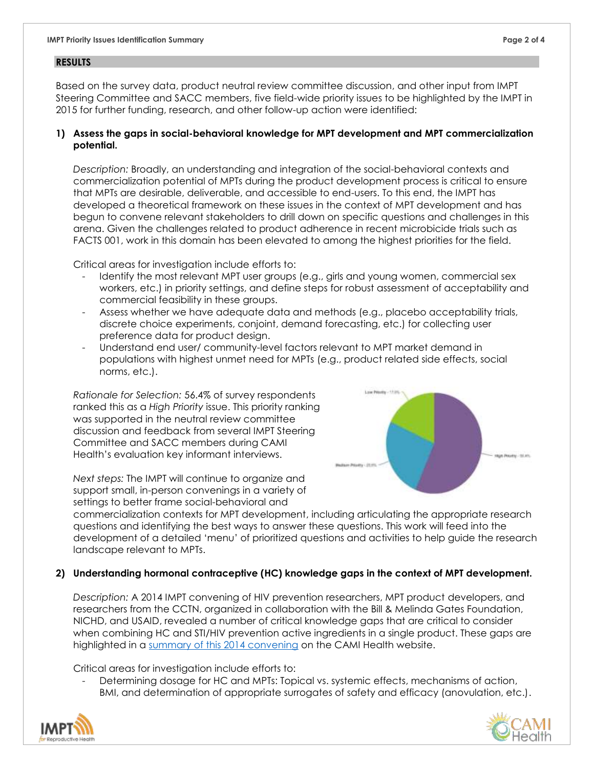### **RESULTS**

Based on the survey data, product neutral review committee discussion, and other input from IMPT Steering Committee and SACC members, five field-wide priority issues to be highlighted by the IMPT in 2015 for further funding, research, and other follow-up action were identified:

### **1) Assess the gaps in social-behavioral knowledge for MPT development and MPT commercialization potential.**

*Description:* Broadly, an understanding and integration of the social-behavioral contexts and commercialization potential of MPTs during the product development process is critical to ensure that MPTs are desirable, deliverable, and accessible to end-users. To this end, the IMPT has developed a theoretical framework on these issues in the context of MPT development and has begun to convene relevant stakeholders to drill down on specific questions and challenges in this arena. Given the challenges related to product adherence in recent microbicide trials such as FACTS 001, work in this domain has been elevated to among the highest priorities for the field.

Critical areas for investigation include efforts to:

- Identify the most relevant MPT user groups (e.g., girls and young women, commercial sex workers, etc.) in priority settings, and define steps for robust assessment of acceptability and commercial feasibility in these groups.
- Assess whether we have adequate data and methods (e.g., placebo acceptability trials, discrete choice experiments, conjoint, demand forecasting, etc.) for collecting user preference data for product design.
- Understand end user/ community-level factors relevant to MPT market demand in populations with highest unmet need for MPTs (e.g., product related side effects, social norms, etc.).

*Rationale for Selection:* 56.4% of survey respondents ranked this as a *High Priority* issue. This priority ranking was supported in the neutral review committee discussion and feedback from several IMPT Steering Committee and SACC members during CAMI Health's evaluation key informant interviews.

*Next steps:* The IMPT will continue to organize and support small, in-person convenings in a variety of settings to better frame social-behavioral and



commercialization contexts for MPT development, including articulating the appropriate research questions and identifying the best ways to answer these questions. This work will feed into the development of a detailed 'menu' of prioritized questions and activities to help guide the research landscape relevant to MPTs.

## **2) Understanding hormonal contraceptive (HC) knowledge gaps in the context of MPT development.**

*Description:* A 2014 IMPT convening of HIV prevention researchers, MPT product developers, and researchers from the CCTN, organized in collaboration with the Bill & Melinda Gates Foundation, NICHD, and USAID, revealed a number of critical knowledge gaps that are critical to consider when combining HC and STI/HIV prevention active ingredients in a single product. These gaps are highlighted in a [summary of this 2014 convening](http://cami-health.org/documents/IMPT-HC-Summary-Report2014-participants.pdf) on the CAMI Health website.

Critical areas for investigation include efforts to:

Determining dosage for HC and MPTs: Topical vs. systemic effects, mechanisms of action, BMI, and determination of appropriate surrogates of safety and efficacy (anovulation, etc.).



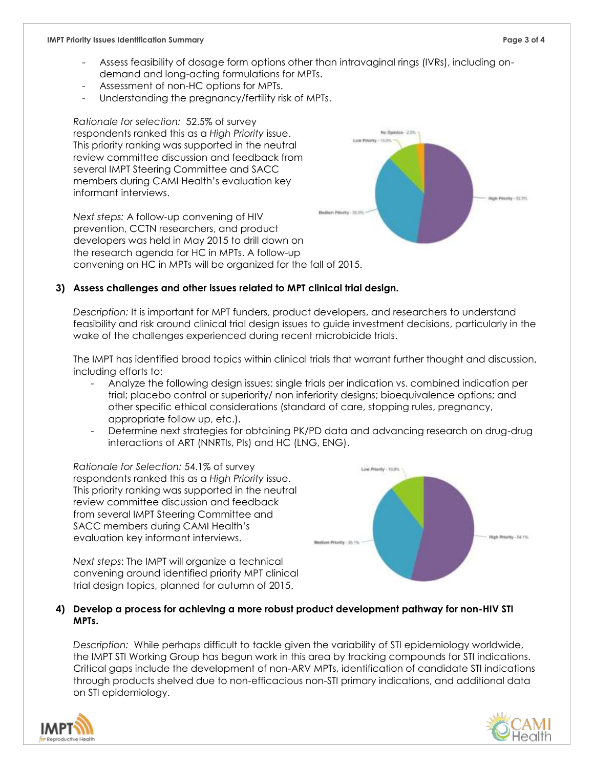- Assess feasibility of dosage form options other than intravaginal rings (IVRs), including ondemand and long-acting formulations for MPTs.
- Assessment of non-HC options for MPTs.
- Understanding the pregnancy/fertility risk of MPTs.

*Rationale for selection:* 52.5% of survey respondents ranked this as a *High Priority* issue. This priority ranking was supported in the neutral review committee discussion and feedback from several IMPT Steering Committee and SACC members during CAMI Health's evaluation key informant interviews.

*Next steps:* A follow-up convening of HIV prevention, CCTN researchers, and product developers was held in May 2015 to drill down on the research agenda for HC in MPTs. A follow-up convening on HC in MPTs will be organized for the fall of 2015.

## **3) Assess challenges and other issues related to MPT clinical trial design.**

*Description:* It is important for MPT funders, product developers, and researchers to understand feasibility and risk around clinical trial design issues to guide investment decisions, particularly in the wake of the challenges experienced during recent microbicide trials.

The IMPT has identified broad topics within clinical trials that warrant further thought and discussion, including efforts to:

- Analyze the following design issues: single trials per indication vs. combined indication per trial; placebo control or superiority/ non inferiority designs; bioequivalence options; and other specific ethical considerations (standard of care, stopping rules, pregnancy, appropriate follow up, etc.).
- Determine next strategies for obtaining PK/PD data and advancing research on drug-drug interactions of ART (NNRTIs, PIs) and HC (LNG, ENG).

*Rationale for Selection:* 54.1% of survey respondents ranked this as a *High Priority* issue. This priority ranking was supported in the neutral review committee discussion and feedback from several IMPT Steering Committee and SACC members during CAMI Health's evaluation key informant interviews.



*Next steps*: The IMPT will organize a technical convening around identified priority MPT clinical trial design topics, planned for autumn of 2015.

### **4) Develop a process for achieving a more robust product development pathway for non-HIV STI MPTs.**

*Description:* While perhaps difficult to tackle given the variability of STI epidemiology worldwide, the IMPT STI Working Group has begun work in this area by tracking compounds for STI indications. Critical gaps include the development of non-ARV MPTs, identification of candidate STI indications through products shelved due to non-efficacious non-STI primary indications, and additional data on STI epidemiology.